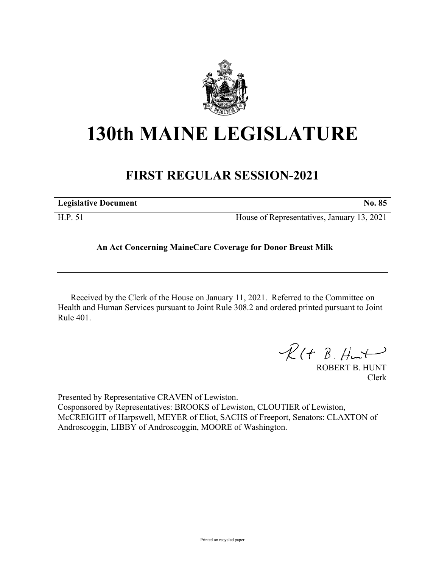

## **130th MAINE LEGISLATURE**

## **FIRST REGULAR SESSION-2021**

| <b>Legislative Document</b> | <b>No. 85</b>                              |
|-----------------------------|--------------------------------------------|
| H.P. 51                     | House of Representatives, January 13, 2021 |

## **An Act Concerning MaineCare Coverage for Donor Breast Milk**

Received by the Clerk of the House on January 11, 2021. Referred to the Committee on Health and Human Services pursuant to Joint Rule 308.2 and ordered printed pursuant to Joint Rule 401.

 $\mathcal{R}(t \; \mathcal{B}, \#m\rightarrow)$ 

ROBERT B. HUNT Clerk

Presented by Representative CRAVEN of Lewiston. Cosponsored by Representatives: BROOKS of Lewiston, CLOUTIER of Lewiston, McCREIGHT of Harpswell, MEYER of Eliot, SACHS of Freeport, Senators: CLAXTON of Androscoggin, LIBBY of Androscoggin, MOORE of Washington.